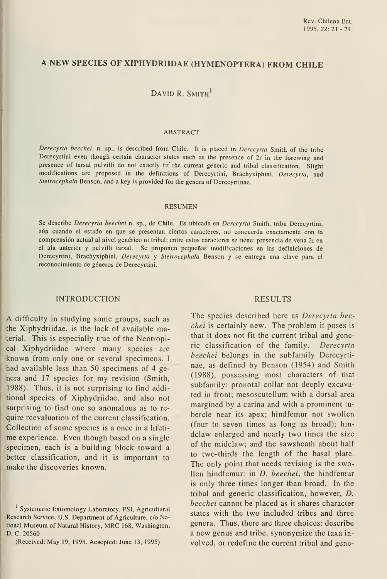# A NEW SPECIES OF XIPHYDRIIDAE (HYMENOPTERA) FROM CHILE

# DAVID R. SMITH<sup>1</sup>

#### ABSTRACT

Derecyrta beechei, n. sp., is described from Chile. It is placed in Derecyrta Smith of the tribe Derecyrtini even though certain character states such as the presence of 2r in the forewing and presence of tarsal pulvilli do not exactly fit the current generic and tribal classification. Slight modifications are proposed in the definitions of Derecyrtini, Brachyxiphini, Derecyrta, and Steirocephala Benson, and a key is provided for the genera of Derecyrtinae.

#### RESUMEN

Se describe Derecyrta beechei n. sp., de Chile. Es ubicada en Derecyrta Smith, tribu Derecyrtini, aún cuando el estado en que se presentan ciertos caracteres, no concuerda exactamente con la comprensión actual al nivel genérico ni tribal; entre estos caracteres se tiene: presencia de vena 2r en el ala anterior y pulvilli tarsal. Se proponen pequeñas modificaciones en las definiciones de Derecyrtini, Brachyxiphini, Derecyrta y Steirocephala Benson y se entrega una clave para el reconocimiento de géneros de Derecyrtini.

#### INTRODUCTION

A difficulty in studying some groups, such as the Xiphydriidae, is the lack of available material. This is especially true of the Neotropical Xiphydriidae where many species are known from only one or several specimens. <sup>I</sup>had available less than 50 specimens of 4 ge nera and 17 species for my revision (Smith, 1988). Thus, it is not surprising to find additional species of Xiphydriidae, and also not surprising to find one so anomalous as to re quire reevaluation of the current classification. Collection of some species is a once in a lifeti me experience. Even though based on a single specimen, each is a building block toward a better classification, and it is important to make the discoveries known.

(Received: May 19, 1995. Aceepted: June 13, 1995)

#### RESULTS

The species described here as Derecyrta beechei is certainly new. The problem it poses is that it does not fit the current tribal and generic classification of the family. Derecyrta beechei belongs in the subfamily Derecyrtinae, as defined by Benson (1954) and Smith (1988), possessing most characters of that subfamily: pronotal collar not deeply excavated in front; mesoscutellum with a dorsal area margined by a carina and with a prominent tu bercle near its apex; hindfemur not swollen (four to seven times as long as broad); hin dclaw enlarged and nearly two times the size of the midclaw; and the sawsheath about half to two-thirds the length of the basal plate. The only point that needs revising is the swollen hindfemur: in D. beechei, the hindfemur is only three times longer than broad. In the tribal and generic classification, however, D. beechei cannot be placed as it shares character states with the two included tribes and three genera. Thus, there are three choices: describe a new genus and tribe, synonymize the taxa in volved, or redefine the current tribal and gene-

<sup>&</sup>lt;sup>1</sup> Systematic Entomology Laboratory, PSI, Agricultural Research Service, U.S. Department of Agriculture, c/o National Museum of Natural History, MRC 168, Washington, D. C. 20560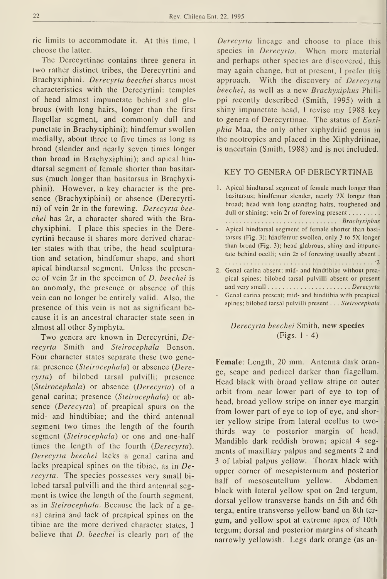ric limits to accommodate it. At this time, I choose the latter.

The Derecyrtinae contains three genera in two rather distinct tribes, the Derecyrtini and Brachyxiphini. Derecyrta beechei shares most characteristics with the Derecyrtini: temples of head almost impunctate behind and glabrous (with long hairs, longer than the first flagellar segment, and commonly dull and punctate in Brachyxiphini); hindfemur swollen medially, about three to five times as long as broad (slender and nearly seven times longer than broad in Brachyxiphini); and apical hindtarsal segment of female shorter than basitar sus (much longer than basitarsus in Brachyxiphini). However, a key character is the pre sence (Brachyxiphini) or absence (Derecyrtini) of vein 2r in the forewing. Derecyrta beechei has 2r, a character shared with the Brachyxiphini. <sup>I</sup> place this species in the Derecyrtini because it shares more derived character states with that tribe, the head sculpturation and setation, hindfemur shape, and short apical hindtarsal segment. Unless the presence of vein 2r in the specimen of D. beechei is an anomaly, the presence or absence of this vein can no longer be entirely valid. Also, the presence of this vein is not as significant be cause it is an ancestral character state seen in almost all other Symphyta.

Two genera are known in Derecyrtini, Derecyrta Smith and Steirocephala Benson. Four character states separate these two genera: presence (Steirocephala) or absence (Derecyrta) of bilobed tarsal pulvilli; presence (Steirocephala) or absence (Derecyrta) of a genal carina; presence (Steirocephala) or ab sence (Derecyrta) of preapical spurs on the mid- and hindtibiae; and the third antennal segment two times the length of the fourth segment (Steirocephala) or one and one-half times the length of the fourth (Derecyrta). Derecyrta beechei lacks a genal carina and lacks preapical spines on the tibiae, as in Derecyrta. The species possesses very small bi lobed tarsal pulvilli and the third antennal seg ment is twice the length of the fourth segment, as in Steirocephala. Because the lack of a genal carina and lack of preapical spines on the tibiae are the more derived character states, <sup>I</sup> believe that D. beechei is clearly part of the

Derecyrta lineage and choose to place this species in *Derecyrta*. When more material and perhaps other species are discovered, this may again change, but at present, <sup>I</sup> prefer this approach. With the discovery of Derecyrta beechei, as well as a new Brachyxiphus Phili ppi recently described (Smith, 1995) with a shiny impunctate head, I revise my 1988 key to genera of Derecyrtinae. The status of Eoxiphia Maa, the only other xiphydriid genus in the neotropics and placed in the Xiphydriinae, is uncertain (Smith, 1988) and is not included.

### KEY TO GENERA OF DERECYRTINAE

1. Apical hindtarsal segment of female much longer than basitarsus; hindfemur slender, nearly 7X longer than broad; head with long standing hairs, roughened and dull or shining; vein 2r of forewing present . . . . . . . . . ................................ Brachyxiphus

- Apical hindtarsal segment of female shorter than basi tarsus (Fig. 3); hindfemur swollen, only <sup>3</sup> to 5X longer than broad (Fig. 3); head glabrous, shiny and impunctate behind ocelli; vein 2r of forewing usually absent . 2
- 2. Genal carina absent; mid- and hindtibiae without preapical spines; bilobed tarsal pulvilli absent or present and very small Derecyrta
- Genal carina present; mid- and hindtibia with preapical spines; bilobed tarsal pulvilli present . . . Steirocephala

## Derecyrta beechei Smith, new species (Figs. <sup>1</sup> - 4)

Female: Length, 20 mm. Antenna dark orange, scape and pedicel darker than flagellum. Head black with broad yellow stripe on outer orbit from near lower part of eye to top of head, broad yellow stripe on inner eye margin from lower part of eye to top of eye, and shorter yellow stripe from lateral ocellus to twothirds way to posterior margin of head. Mandible dark reddish brown; apical 4 seg ments of maxillary palpus and segments 2 and 3 of labial palpus yellow. Thorax black with upper corner of mesepisternum and posterior half of mesoscutellum yellow. Abdomen black with lateral yellow spot on 2nd tergum, dorsal yellow transverse bands on 5th and 6th terga, entire transverse yellow band on 8th ter gum, and yellow spot at extreme apex of lOth tergum; dorsal and posterior margins of sheath narrowly yellowish. Legs dark orange (as an-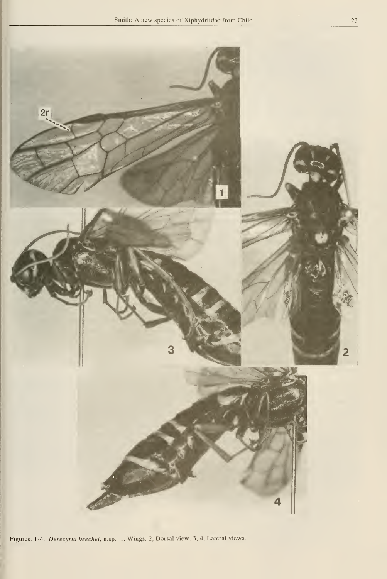

Figures. 1-4. Derecyrta beechei, n.sp. 1. Wings. 2, Dorsal view. 3, 4, Lateral views.